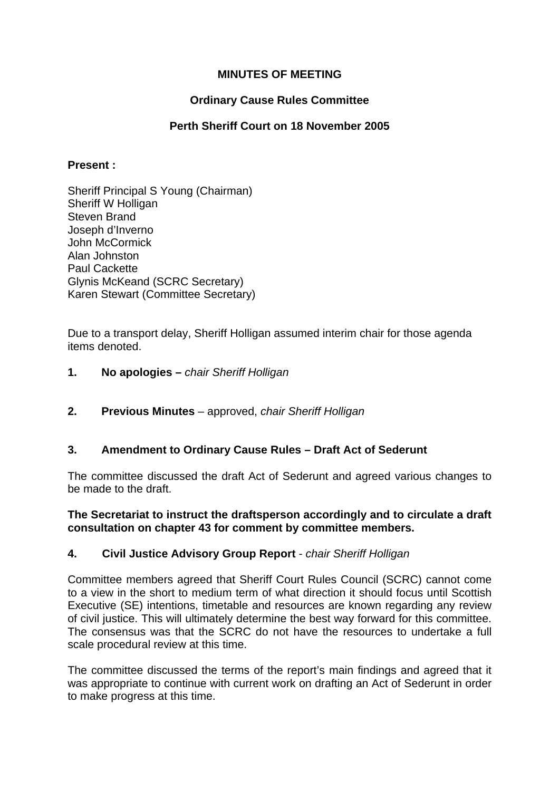## **MINUTES OF MEETING**

## **Ordinary Cause Rules Committee**

## **Perth Sheriff Court on 18 November 2005**

#### **Present :**

Sheriff Principal S Young (Chairman) Sheriff W Holligan Steven Brand Joseph d'Inverno John McCormick Alan Johnston Paul Cackette Glynis McKeand (SCRC Secretary) Karen Stewart (Committee Secretary)

Due to a transport delay, Sheriff Holligan assumed interim chair for those agenda items denoted.

- **1. No apologies** *chair Sheriff Holligan*
- **2. Previous Minutes**  approved, *chair Sheriff Holligan*

### **3. Amendment to Ordinary Cause Rules – Draft Act of Sederunt**

The committee discussed the draft Act of Sederunt and agreed various changes to be made to the draft.

#### **The Secretariat to instruct the draftsperson accordingly and to circulate a draft consultation on chapter 43 for comment by committee members.**

### **4. Civil Justice Advisory Group Report** - *chair Sheriff Holligan*

Committee members agreed that Sheriff Court Rules Council (SCRC) cannot come to a view in the short to medium term of what direction it should focus until Scottish Executive (SE) intentions, timetable and resources are known regarding any review of civil justice. This will ultimately determine the best way forward for this committee. The consensus was that the SCRC do not have the resources to undertake a full scale procedural review at this time.

The committee discussed the terms of the report's main findings and agreed that it was appropriate to continue with current work on drafting an Act of Sederunt in order to make progress at this time.